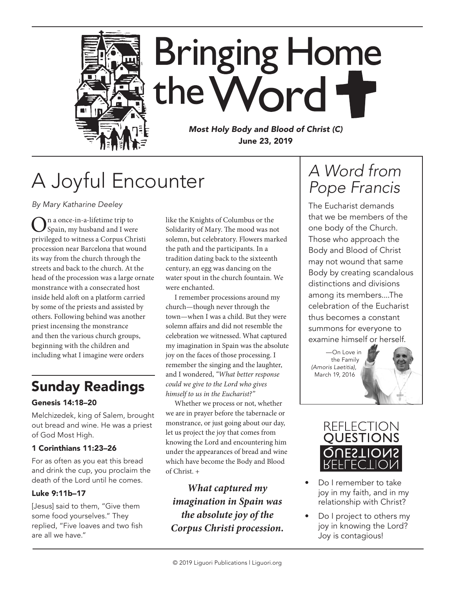

*Most Holy Body and Blood of Christ (C)* June 23, 2019

# A Joyful Encounter

*By Mary Katharine Deeley*

 $\bigodot$ <sup>n</sup> a once-in-a-lifetime trip to Spain, my husband and I were privileged to witness a Corpus Christi procession near Barcelona that wound its way from the church through the streets and back to the church. At the head of the procession was a large ornate monstrance with a consecrated host inside held aloft on a platform carried by some of the priests and assisted by others. Following behind was another priest incensing the monstrance and then the various church groups, beginning with the children and including what I imagine were orders

### Sunday Readings

### Genesis 14:18–20

Melchizedek, king of Salem, brought out bread and wine. He was a priest of God Most High.

### 1 Corinthians 11:23–26

For as often as you eat this bread and drink the cup, you proclaim the death of the Lord until he comes.

### Luke 9:11b–17

[Jesus] said to them, "Give them some food yourselves." They replied, "Five loaves and two fish are all we have."

like the Knights of Columbus or the Solidarity of Mary. The mood was not solemn, but celebratory. Flowers marked the path and the participants. In a tradition dating back to the sixteenth century, an egg was dancing on the water spout in the church fountain. We were enchanted.

I remember processions around my church—though never through the town—when I was a child. But they were solemn affairs and did not resemble the celebration we witnessed. What captured my imagination in Spain was the absolute joy on the faces of those processing. I remember the singing and the laughter, and I wondered, *"What better response could we give to the Lord who gives himself to us in the Eucharist?"*

Whether we process or not, whether we are in prayer before the tabernacle or monstrance, or just going about our day, let us project the joy that comes from knowing the Lord and encountering him under the appearances of bread and wine which have become the Body and Blood of Christ. +

*What captured my imagination in Spain was the absolute joy of the Corpus Christi procession.*

## *A Word from Pope Francis*

The Eucharist demands that we be members of the one body of the Church. Those who approach the Body and Blood of Christ may not wound that same Body by creating scandalous distinctions and divisions among its members....The celebration of the Eucharist thus becomes a constant summons for everyone to examine himself or herself.

 —On Love in the Family *(Amoris Laetitia)*, March 19, 2016



- Do I remember to take joy in my faith, and in my relationship with Christ?
- Do I project to others my joy in knowing the Lord? Joy is contagious!